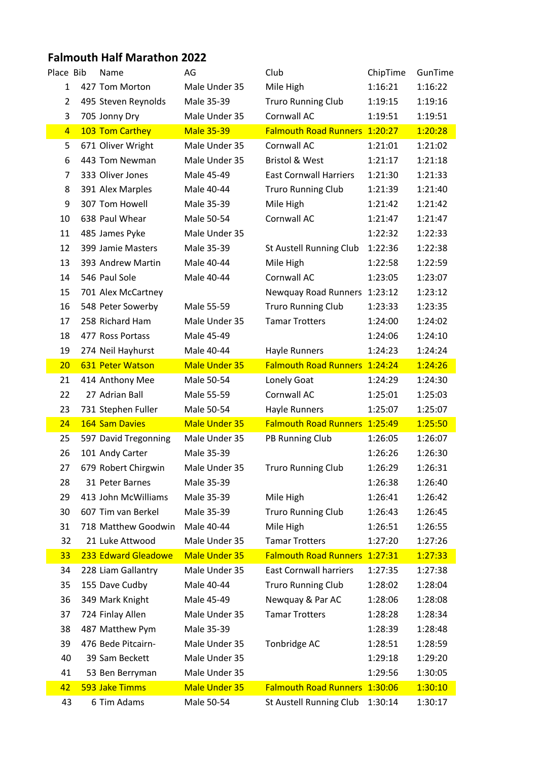## **Falmouth Half Marathon 2022**

| Place Bib      | Name                 | AG                   | Club                          | ChipTime | GunTime |
|----------------|----------------------|----------------------|-------------------------------|----------|---------|
| 1              | 427 Tom Morton       | Male Under 35        | Mile High                     | 1:16:21  | 1:16:22 |
| $\overline{2}$ | 495 Steven Reynolds  | Male 35-39           | <b>Truro Running Club</b>     | 1:19:15  | 1:19:16 |
| 3              | 705 Jonny Dry        | Male Under 35        | Cornwall AC                   | 1:19:51  | 1:19:51 |
| $\overline{4}$ | 103 Tom Carthey      | <b>Male 35-39</b>    | Falmouth Road Runners 1:20:27 |          | 1:20:28 |
| 5              | 671 Oliver Wright    | Male Under 35        | Cornwall AC                   | 1:21:01  | 1:21:02 |
| 6              | 443 Tom Newman       | Male Under 35        | <b>Bristol &amp; West</b>     | 1:21:17  | 1:21:18 |
| 7              | 333 Oliver Jones     | Male 45-49           | <b>East Cornwall Harriers</b> | 1:21:30  | 1:21:33 |
| 8              | 391 Alex Marples     | Male 40-44           | <b>Truro Running Club</b>     | 1:21:39  | 1:21:40 |
| 9              | 307 Tom Howell       | Male 35-39           | Mile High                     | 1:21:42  | 1:21:42 |
| 10             | 638 Paul Whear       | Male 50-54           | Cornwall AC                   | 1:21:47  | 1:21:47 |
| 11             | 485 James Pyke       | Male Under 35        |                               | 1:22:32  | 1:22:33 |
| 12             | 399 Jamie Masters    | Male 35-39           | St Austell Running Club       | 1:22:36  | 1:22:38 |
| 13             | 393 Andrew Martin    | Male 40-44           | Mile High                     | 1:22:58  | 1:22:59 |
| 14             | 546 Paul Sole        | Male 40-44           | Cornwall AC                   | 1:23:05  | 1:23:07 |
| 15             | 701 Alex McCartney   |                      | Newquay Road Runners          | 1:23:12  | 1:23:12 |
| 16             | 548 Peter Sowerby    | Male 55-59           | <b>Truro Running Club</b>     | 1:23:33  | 1:23:35 |
| 17             | 258 Richard Ham      | Male Under 35        | <b>Tamar Trotters</b>         | 1:24:00  | 1:24:02 |
| 18             | 477 Ross Portass     | Male 45-49           |                               | 1:24:06  | 1:24:10 |
| 19             | 274 Neil Hayhurst    | Male 40-44           | <b>Hayle Runners</b>          | 1:24:23  | 1:24:24 |
| 20             | 631 Peter Watson     | <b>Male Under 35</b> | Falmouth Road Runners 1:24:24 |          | 1:24:26 |
| 21             | 414 Anthony Mee      | Male 50-54           | Lonely Goat                   | 1:24:29  | 1:24:30 |
| 22             | 27 Adrian Ball       | Male 55-59           | Cornwall AC                   | 1:25:01  | 1:25:03 |
| 23             | 731 Stephen Fuller   | Male 50-54           | Hayle Runners                 | 1:25:07  | 1:25:07 |
| 24             | 164 Sam Davies       | <b>Male Under 35</b> | <b>Falmouth Road Runners</b>  | 1:25:49  | 1:25:50 |
| 25             | 597 David Tregonning | Male Under 35        | PB Running Club               | 1:26:05  | 1:26:07 |
| 26             | 101 Andy Carter      | Male 35-39           |                               | 1:26:26  | 1:26:30 |
| 27             | 679 Robert Chirgwin  | Male Under 35        | <b>Truro Running Club</b>     | 1:26:29  | 1:26:31 |
| 28             | 31 Peter Barnes      | Male 35-39           |                               | 1:26:38  | 1:26:40 |
| 29             | 413 John McWilliams  | Male 35-39           | Mile High                     | 1:26:41  | 1:26:42 |
| 30             | 607 Tim van Berkel   | Male 35-39           | <b>Truro Running Club</b>     | 1:26:43  | 1:26:45 |
| 31             | 718 Matthew Goodwin  | Male 40-44           | Mile High                     | 1:26:51  | 1:26:55 |
| 32             | 21 Luke Attwood      | Male Under 35        | <b>Tamar Trotters</b>         | 1:27:20  | 1:27:26 |
| 33             | 233 Edward Gleadowe  | <b>Male Under 35</b> | <b>Falmouth Road Runners</b>  | 1:27:31  | 1:27:33 |
| 34             | 228 Liam Gallantry   | Male Under 35        | <b>East Cornwall harriers</b> | 1:27:35  | 1:27:38 |
| 35             | 155 Dave Cudby       | Male 40-44           | <b>Truro Running Club</b>     | 1:28:02  | 1:28:04 |
| 36             | 349 Mark Knight      | Male 45-49           | Newquay & Par AC              | 1:28:06  | 1:28:08 |
| 37             | 724 Finlay Allen     | Male Under 35        | <b>Tamar Trotters</b>         | 1:28:28  | 1:28:34 |
| 38             | 487 Matthew Pym      | Male 35-39           |                               | 1:28:39  | 1:28:48 |
| 39             | 476 Bede Pitcairn-   | Male Under 35        | Tonbridge AC                  | 1:28:51  | 1:28:59 |
| 40             | 39 Sam Beckett       | Male Under 35        |                               | 1:29:18  | 1:29:20 |
| 41             | 53 Ben Berryman      | Male Under 35        |                               | 1:29:56  | 1:30:05 |
| 42             | 593 Jake Timms       | <b>Male Under 35</b> | <b>Falmouth Road Runners</b>  | 1:30:06  | 1:30:10 |
| 43             | 6 Tim Adams          | Male 50-54           | St Austell Running Club       | 1:30:14  | 1:30:17 |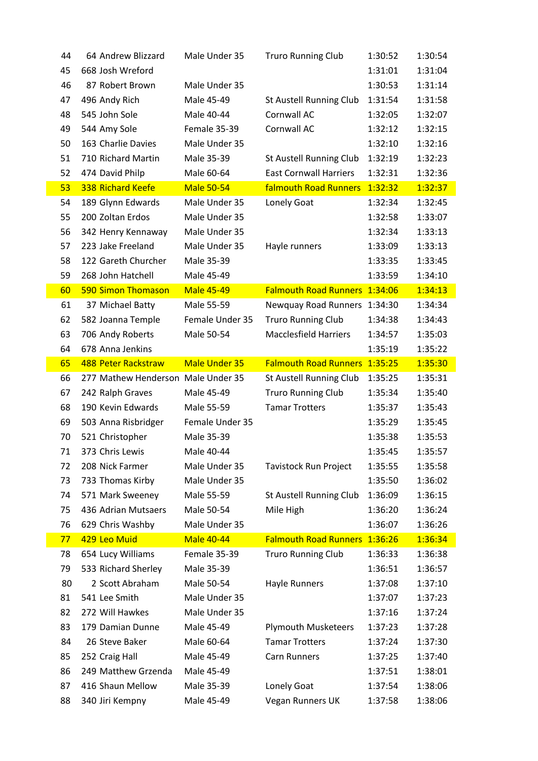| 44 | 64 Andrew Blizzard                 | Male Under 35     | <b>Truro Running Club</b>     | 1:30:52 | 1:30:54 |
|----|------------------------------------|-------------------|-------------------------------|---------|---------|
| 45 | 668 Josh Wreford                   |                   |                               | 1:31:01 | 1:31:04 |
| 46 | 87 Robert Brown                    | Male Under 35     |                               | 1:30:53 | 1:31:14 |
| 47 | 496 Andy Rich                      | Male 45-49        | St Austell Running Club       | 1:31:54 | 1:31:58 |
| 48 | 545 John Sole                      | Male 40-44        | Cornwall AC                   | 1:32:05 | 1:32:07 |
| 49 | 544 Amy Sole                       | Female 35-39      | Cornwall AC                   | 1:32:12 | 1:32:15 |
| 50 | 163 Charlie Davies                 | Male Under 35     |                               | 1:32:10 | 1:32:16 |
| 51 | 710 Richard Martin                 | Male 35-39        | St Austell Running Club       | 1:32:19 | 1:32:23 |
| 52 | 474 David Philp                    | Male 60-64        | <b>East Cornwall Harriers</b> | 1:32:31 | 1:32:36 |
| 53 | 338 Richard Keefe                  | <b>Male 50-54</b> | <b>falmouth Road Runners</b>  | 1:32:32 | 1:32:37 |
| 54 | 189 Glynn Edwards                  | Male Under 35     | Lonely Goat                   | 1:32:34 | 1:32:45 |
| 55 | 200 Zoltan Erdos                   | Male Under 35     |                               | 1:32:58 | 1:33:07 |
| 56 | 342 Henry Kennaway                 | Male Under 35     |                               | 1:32:34 | 1:33:13 |
| 57 | 223 Jake Freeland                  | Male Under 35     | Hayle runners                 | 1:33:09 | 1:33:13 |
| 58 | 122 Gareth Churcher                | Male 35-39        |                               | 1:33:35 | 1:33:45 |
| 59 | 268 John Hatchell                  | Male 45-49        |                               | 1:33:59 | 1:34:10 |
| 60 | <b>590 Simon Thomason</b>          | <b>Male 45-49</b> | <b>Falmouth Road Runners</b>  | 1:34:06 | 1:34:13 |
| 61 | 37 Michael Batty                   | Male 55-59        | <b>Newquay Road Runners</b>   | 1:34:30 | 1:34:34 |
| 62 | 582 Joanna Temple                  | Female Under 35   | <b>Truro Running Club</b>     | 1:34:38 | 1:34:43 |
| 63 | 706 Andy Roberts                   | Male 50-54        | <b>Macclesfield Harriers</b>  | 1:34:57 | 1:35:03 |
| 64 | 678 Anna Jenkins                   |                   |                               | 1:35:19 | 1:35:22 |
| 65 | <b>488 Peter Rackstraw</b>         | Male Under 35     | <b>Falmouth Road Runners</b>  | 1:35:25 | 1:35:30 |
| 66 | 277 Mathew Henderson Male Under 35 |                   | St Austell Running Club       | 1:35:25 | 1:35:31 |
|    |                                    |                   |                               |         |         |
| 67 | 242 Ralph Graves                   | Male 45-49        | <b>Truro Running Club</b>     | 1:35:34 | 1:35:40 |
| 68 | 190 Kevin Edwards                  | Male 55-59        | <b>Tamar Trotters</b>         | 1:35:37 | 1:35:43 |
| 69 | 503 Anna Risbridger                | Female Under 35   |                               | 1:35:29 | 1:35:45 |
| 70 | 521 Christopher                    | Male 35-39        |                               | 1:35:38 | 1:35:53 |
| 71 | 373 Chris Lewis                    | Male 40-44        |                               | 1:35:45 | 1:35:57 |
| 72 | 208 Nick Farmer                    | Male Under 35     | <b>Tavistock Run Project</b>  | 1:35:55 | 1:35:58 |
| 73 | 733 Thomas Kirby                   | Male Under 35     |                               | 1:35:50 | 1:36:02 |
| 74 | 571 Mark Sweeney                   | Male 55-59        | St Austell Running Club       | 1:36:09 | 1:36:15 |
| 75 | 436 Adrian Mutsaers                | Male 50-54        | Mile High                     | 1:36:20 | 1:36:24 |
| 76 | 629 Chris Washby                   | Male Under 35     |                               | 1:36:07 | 1:36:26 |
| 77 | 429 Leo Muid                       | <b>Male 40-44</b> | <b>Falmouth Road Runners</b>  | 1:36:26 | 1:36:34 |
| 78 | 654 Lucy Williams                  | Female 35-39      | <b>Truro Running Club</b>     | 1:36:33 | 1:36:38 |
| 79 | 533 Richard Sherley                | Male 35-39        |                               | 1:36:51 | 1:36:57 |
| 80 | 2 Scott Abraham                    | Male 50-54        | <b>Hayle Runners</b>          | 1:37:08 | 1:37:10 |
| 81 | 541 Lee Smith                      | Male Under 35     |                               | 1:37:07 | 1:37:23 |
| 82 | 272 Will Hawkes                    | Male Under 35     |                               | 1:37:16 | 1:37:24 |
| 83 | 179 Damian Dunne                   | Male 45-49        | <b>Plymouth Musketeers</b>    | 1:37:23 | 1:37:28 |
| 84 | 26 Steve Baker                     | Male 60-64        | <b>Tamar Trotters</b>         | 1:37:24 | 1:37:30 |
| 85 | 252 Craig Hall                     | Male 45-49        | Carn Runners                  | 1:37:25 | 1:37:40 |
| 86 | 249 Matthew Grzenda                | Male 45-49        |                               | 1:37:51 | 1:38:01 |
| 87 | 416 Shaun Mellow                   | Male 35-39        | Lonely Goat                   | 1:37:54 | 1:38:06 |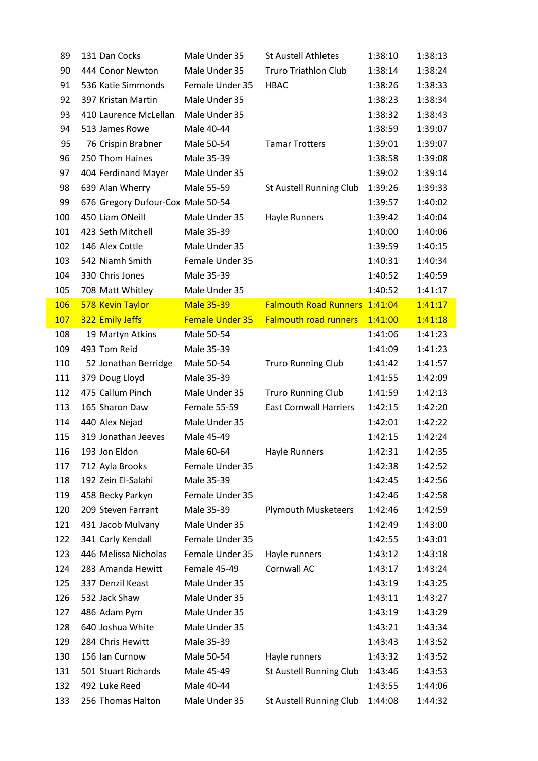| 89  | 131 Dan Cocks                     | Male Under 35          | <b>St Austell Athletes</b>    | 1:38:10 | 1:38:13 |
|-----|-----------------------------------|------------------------|-------------------------------|---------|---------|
| 90  | 444 Conor Newton                  | Male Under 35          | <b>Truro Triathlon Club</b>   | 1:38:14 | 1:38:24 |
| 91  | 536 Katie Simmonds                | Female Under 35        | <b>HBAC</b>                   | 1:38:26 | 1:38:33 |
| 92  | 397 Kristan Martin                | Male Under 35          |                               | 1:38:23 | 1:38:34 |
| 93  | 410 Laurence McLellan             | Male Under 35          |                               | 1:38:32 | 1:38:43 |
| 94  | 513 James Rowe                    | Male 40-44             |                               | 1:38:59 | 1:39:07 |
| 95  | 76 Crispin Brabner                | Male 50-54             | <b>Tamar Trotters</b>         | 1:39:01 | 1:39:07 |
| 96  | 250 Thom Haines                   | Male 35-39             |                               | 1:38:58 | 1:39:08 |
| 97  | 404 Ferdinand Mayer               | Male Under 35          |                               | 1:39:02 | 1:39:14 |
| 98  | 639 Alan Wherry                   | Male 55-59             | St Austell Running Club       | 1:39:26 | 1:39:33 |
| 99  | 676 Gregory Dufour-Cox Male 50-54 |                        |                               | 1:39:57 | 1:40:02 |
| 100 | 450 Liam ONeill                   | Male Under 35          | Hayle Runners                 | 1:39:42 | 1:40:04 |
| 101 | 423 Seth Mitchell                 | Male 35-39             |                               | 1:40:00 | 1:40:06 |
| 102 | 146 Alex Cottle                   | Male Under 35          |                               | 1:39:59 | 1:40:15 |
| 103 | 542 Niamh Smith                   | Female Under 35        |                               | 1:40:31 | 1:40:34 |
| 104 | 330 Chris Jones                   | Male 35-39             |                               | 1:40:52 | 1:40:59 |
| 105 | 708 Matt Whitley                  | Male Under 35          |                               | 1:40:52 | 1:41:17 |
| 106 | 578 Kevin Taylor                  | <b>Male 35-39</b>      | <b>Falmouth Road Runners</b>  | 1:41:04 | 1:41:17 |
| 107 | 322 Emily Jeffs                   | <b>Female Under 35</b> | <b>Falmouth road runners</b>  | 1:41:00 | 1:41:18 |
| 108 | 19 Martyn Atkins                  | Male 50-54             |                               | 1:41:06 | 1:41:23 |
| 109 | 493 Tom Reid                      | Male 35-39             |                               | 1:41:09 | 1:41:23 |
| 110 | 52 Jonathan Berridge              | Male 50-54             | <b>Truro Running Club</b>     | 1:41:42 | 1:41:57 |
| 111 | 379 Doug Lloyd                    | Male 35-39             |                               | 1:41:55 | 1:42:09 |
| 112 | 475 Callum Pinch                  | Male Under 35          | <b>Truro Running Club</b>     | 1:41:59 | 1:42:13 |
| 113 | 165 Sharon Daw                    | Female 55-59           | <b>East Cornwall Harriers</b> | 1:42:15 | 1:42:20 |
| 114 | 440 Alex Nejad                    | Male Under 35          |                               | 1:42:01 | 1:42:22 |
| 115 | 319 Jonathan Jeeves               | Male 45-49             |                               | 1:42:15 | 1:42:24 |
| 116 | 193 Jon Eldon                     | Male 60-64             | Hayle Runners                 | 1:42:31 | 1:42:35 |
| 117 | 712 Ayla Brooks                   | Female Under 35        |                               | 1:42:38 | 1:42:52 |
| 118 | 192 Zein El-Salahi                | Male 35-39             |                               | 1:42:45 | 1:42:56 |
| 119 | 458 Becky Parkyn                  | Female Under 35        |                               | 1:42:46 | 1:42:58 |
| 120 | 209 Steven Farrant                | Male 35-39             | <b>Plymouth Musketeers</b>    | 1:42:46 | 1:42:59 |
| 121 | 431 Jacob Mulvany                 | Male Under 35          |                               | 1:42:49 | 1:43:00 |
| 122 | 341 Carly Kendall                 | Female Under 35        |                               | 1:42:55 | 1:43:01 |
| 123 | 446 Melissa Nicholas              | Female Under 35        | Hayle runners                 | 1:43:12 | 1:43:18 |
| 124 | 283 Amanda Hewitt                 | Female 45-49           | Cornwall AC                   | 1:43:17 | 1:43:24 |
| 125 | 337 Denzil Keast                  | Male Under 35          |                               | 1:43:19 | 1:43:25 |
| 126 | 532 Jack Shaw                     | Male Under 35          |                               | 1:43:11 | 1:43:27 |
| 127 | 486 Adam Pym                      | Male Under 35          |                               | 1:43:19 | 1:43:29 |
| 128 | 640 Joshua White                  | Male Under 35          |                               | 1:43:21 | 1:43:34 |
| 129 | 284 Chris Hewitt                  | Male 35-39             |                               | 1:43:43 | 1:43:52 |
| 130 | 156 Ian Curnow                    | Male 50-54             | Hayle runners                 | 1:43:32 | 1:43:52 |
| 131 | 501 Stuart Richards               | Male 45-49             | St Austell Running Club       | 1:43:46 | 1:43:53 |
| 132 | 492 Luke Reed                     | Male 40-44             |                               | 1:43:55 | 1:44:06 |
| 133 | 256 Thomas Halton                 | Male Under 35          | St Austell Running Club       | 1:44:08 | 1:44:32 |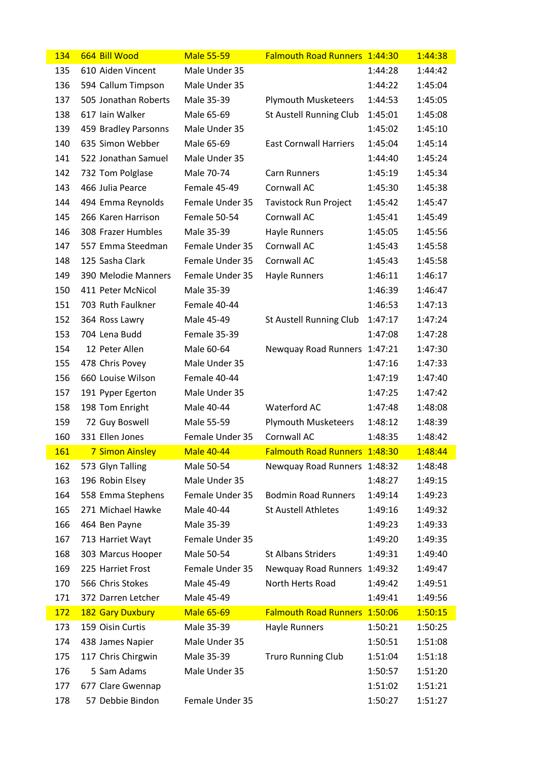| 134        | 664 Bill Wood                         | <b>Male 55-59</b>           | Falmouth Road Runners 1:44:30        |                    | 1:44:38            |
|------------|---------------------------------------|-----------------------------|--------------------------------------|--------------------|--------------------|
| 135        | 610 Aiden Vincent                     | Male Under 35               |                                      | 1:44:28            | 1:44:42            |
| 136        | 594 Callum Timpson                    | Male Under 35               |                                      | 1:44:22            | 1:45:04            |
| 137        | 505 Jonathan Roberts                  | Male 35-39                  | <b>Plymouth Musketeers</b>           | 1:44:53            | 1:45:05            |
| 138        | 617 Iain Walker                       | Male 65-69                  | St Austell Running Club              | 1:45:01            | 1:45:08            |
| 139        | 459 Bradley Parsonns                  | Male Under 35               |                                      | 1:45:02            | 1:45:10            |
| 140        | 635 Simon Webber                      | Male 65-69                  | <b>East Cornwall Harriers</b>        | 1:45:04            | 1:45:14            |
| 141        | 522 Jonathan Samuel                   | Male Under 35               |                                      | 1:44:40            | 1:45:24            |
| 142        | 732 Tom Polglase                      | Male 70-74                  | Carn Runners                         | 1:45:19            | 1:45:34            |
| 143        | 466 Julia Pearce                      | Female 45-49                | Cornwall AC                          | 1:45:30            | 1:45:38            |
| 144        | 494 Emma Reynolds                     | Female Under 35             | Tavistock Run Project                | 1:45:42            | 1:45:47            |
| 145        | 266 Karen Harrison                    | Female 50-54                | Cornwall AC                          | 1:45:41            | 1:45:49            |
| 146        | 308 Frazer Humbles                    | Male 35-39                  | Hayle Runners                        | 1:45:05            | 1:45:56            |
| 147        | 557 Emma Steedman                     | Female Under 35             | Cornwall AC                          | 1:45:43            | 1:45:58            |
| 148        | 125 Sasha Clark                       | Female Under 35             | Cornwall AC                          | 1:45:43            | 1:45:58            |
| 149        | 390 Melodie Manners                   | Female Under 35             | Hayle Runners                        | 1:46:11            | 1:46:17            |
| 150        | 411 Peter McNicol                     | Male 35-39                  |                                      | 1:46:39            | 1:46:47            |
| 151        | 703 Ruth Faulkner                     | Female 40-44                |                                      | 1:46:53            | 1:47:13            |
| 152        | 364 Ross Lawry                        | Male 45-49                  | St Austell Running Club              | 1:47:17            | 1:47:24            |
| 153        | 704 Lena Budd                         | Female 35-39                |                                      | 1:47:08            | 1:47:28            |
| 154        | 12 Peter Allen                        | Male 60-64                  | Newquay Road Runners                 | 1:47:21            | 1:47:30            |
| 155        | 478 Chris Povey                       | Male Under 35               |                                      | 1:47:16            | 1:47:33            |
| 156        | 660 Louise Wilson                     | Female 40-44                |                                      | 1:47:19            | 1:47:40            |
| 157        | 191 Pyper Egerton                     | Male Under 35               |                                      | 1:47:25            | 1:47:42            |
| 158        | 198 Tom Enright                       | Male 40-44                  | Waterford AC                         | 1:47:48            | 1:48:08            |
| 159        | 72 Guy Boswell                        | Male 55-59                  | <b>Plymouth Musketeers</b>           | 1:48:12            | 1:48:39            |
| 160        | 331 Ellen Jones                       | Female Under 35             | Cornwall AC                          | 1:48:35            | 1:48:42            |
| 161        | <b>7 Simon Ainsley</b>                | Male 40-44                  | <b>Falmouth Road Runners 1:48:30</b> |                    | 1:48:44            |
| 162        | 573 Glyn Talling                      | Male 50-54                  | Newquay Road Runners 1:48:32         |                    | 1:48:48            |
| 163        | 196 Robin Elsey                       | Male Under 35               |                                      | 1:48:27            | 1:49:15            |
| 164        | 558 Emma Stephens                     | Female Under 35             | <b>Bodmin Road Runners</b>           | 1:49:14            | 1:49:23            |
| 165        | 271 Michael Hawke                     | Male 40-44                  | <b>St Austell Athletes</b>           | 1:49:16            | 1:49:32            |
| 166        | 464 Ben Payne                         | Male 35-39                  |                                      | 1:49:23            | 1:49:33            |
| 167        | 713 Harriet Wayt                      | Female Under 35             |                                      | 1:49:20            | 1:49:35            |
| 168        | 303 Marcus Hooper                     | Male 50-54                  | <b>St Albans Striders</b>            | 1:49:31            | 1:49:40            |
| 169        | 225 Harriet Frost                     | Female Under 35             | Newquay Road Runners 1:49:32         |                    | 1:49:47            |
| 170        | 566 Chris Stokes                      | Male 45-49                  | North Herts Road                     | 1:49:42            | 1:49:51            |
| 171        | 372 Darren Letcher                    | Male 45-49                  |                                      | 1:49:41            | 1:49:56            |
| <b>172</b> | 182 Gary Duxbury                      | <b>Male 65-69</b>           | <b>Falmouth Road Runners 1:50:06</b> |                    | 1:50:15            |
| 173<br>174 | 159 Oisin Curtis                      | Male 35-39<br>Male Under 35 | Hayle Runners                        | 1:50:21<br>1:50:51 | 1:50:25            |
| 175        | 438 James Napier                      | Male 35-39                  |                                      |                    | 1:51:08<br>1:51:18 |
| 176        | 117 Chris Chirgwin<br>5 Sam Adams     | Male Under 35               | <b>Truro Running Club</b>            | 1:51:04<br>1:50:57 | 1:51:20            |
| 177        |                                       |                             |                                      | 1:51:02            | 1:51:21            |
| 178        | 677 Clare Gwennap<br>57 Debbie Bindon | Female Under 35             |                                      | 1:50:27            |                    |
|            |                                       |                             |                                      |                    | 1:51:27            |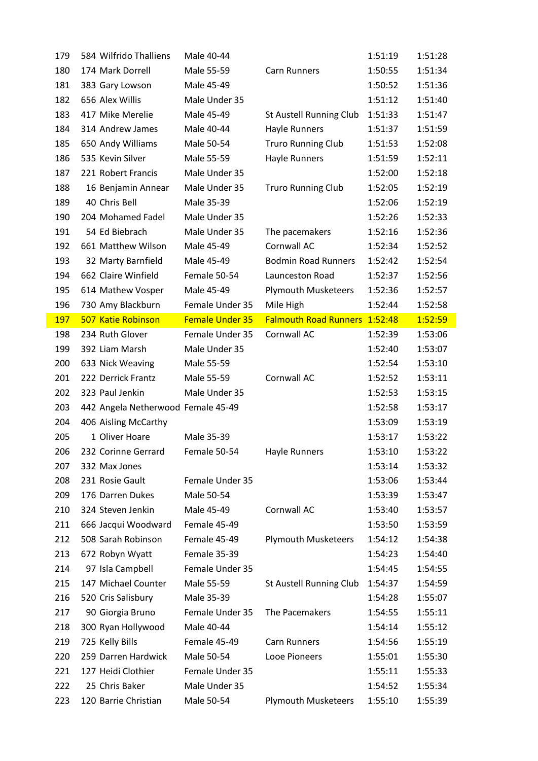| 179        | 584 Wilfrido Thalliens                 | Male 40-44                  |                               | 1:51:19            | 1:51:28            |
|------------|----------------------------------------|-----------------------------|-------------------------------|--------------------|--------------------|
| 180        | 174 Mark Dorrell                       | Male 55-59                  | Carn Runners                  | 1:50:55            | 1:51:34            |
| 181        | 383 Gary Lowson                        | Male 45-49                  |                               | 1:50:52            | 1:51:36            |
| 182        | 656 Alex Willis                        | Male Under 35               |                               | 1:51:12            | 1:51:40            |
| 183        | 417 Mike Merelie                       | Male 45-49                  | St Austell Running Club       | 1:51:33            | 1:51:47            |
| 184        | 314 Andrew James                       | Male 40-44                  | Hayle Runners                 | 1:51:37            | 1:51:59            |
| 185        | 650 Andy Williams                      | Male 50-54                  | <b>Truro Running Club</b>     | 1:51:53            | 1:52:08            |
| 186        | 535 Kevin Silver                       | Male 55-59                  | Hayle Runners                 | 1:51:59            | 1:52:11            |
| 187        | 221 Robert Francis                     | Male Under 35               |                               | 1:52:00            | 1:52:18            |
| 188        | 16 Benjamin Annear                     | Male Under 35               | Truro Running Club            | 1:52:05            | 1:52:19            |
| 189        | 40 Chris Bell                          | Male 35-39                  |                               | 1:52:06            | 1:52:19            |
| 190        | 204 Mohamed Fadel                      | Male Under 35               |                               | 1:52:26            | 1:52:33            |
| 191        | 54 Ed Biebrach                         | Male Under 35               | The pacemakers                | 1:52:16            | 1:52:36            |
| 192        | 661 Matthew Wilson                     | Male 45-49                  | Cornwall AC                   | 1:52:34            | 1:52:52            |
| 193        | 32 Marty Barnfield                     | Male 45-49                  | <b>Bodmin Road Runners</b>    | 1:52:42            | 1:52:54            |
| 194        | 662 Claire Winfield                    | Female 50-54                | Launceston Road               | 1:52:37            | 1:52:56            |
| 195        | 614 Mathew Vosper                      | Male 45-49                  | <b>Plymouth Musketeers</b>    | 1:52:36            | 1:52:57            |
| 196        | 730 Amy Blackburn                      | Female Under 35             | Mile High                     | 1:52:44            | 1:52:58            |
| <b>197</b> | <b>507 Katie Robinson</b>              | <b>Female Under 35</b>      | Falmouth Road Runners 1:52:48 |                    | 1:52:59            |
| 198        | 234 Ruth Glover                        | Female Under 35             | Cornwall AC                   | 1:52:39            | 1:53:06            |
| 199        | 392 Liam Marsh                         | Male Under 35               |                               | 1:52:40            | 1:53:07            |
| 200        | 633 Nick Weaving                       | Male 55-59                  |                               | 1:52:54            | 1:53:10            |
| 201        | 222 Derrick Frantz                     | Male 55-59                  | Cornwall AC                   | 1:52:52            | 1:53:11            |
| 202        | 323 Paul Jenkin                        | Male Under 35               |                               | 1:52:53            | 1:53:15            |
| 203        | 442 Angela Netherwood Female 45-49     |                             |                               | 1:52:58            | 1:53:17            |
| 204        | 406 Aisling McCarthy                   |                             |                               | 1:53:09            | 1:53:19            |
| 205        | 1 Oliver Hoare                         | Male 35-39                  |                               | 1:53:17            | 1:53:22            |
| 206        | 232 Corinne Gerrard                    | Female 50-54                | <b>Hayle Runners</b>          | 1:53:10            | 1:53:22            |
| 207        | 332 Max Jones                          |                             |                               | 1:53:14            | 1:53:32            |
| 208        | 231 Rosie Gault                        | Female Under 35             |                               | 1:53:06            | 1:53:44            |
| 209        | 176 Darren Dukes                       | Male 50-54                  |                               | 1:53:39            | 1:53:47            |
| 210        | 324 Steven Jenkin                      | Male 45-49                  | Cornwall AC                   | 1:53:40            | 1:53:57            |
| 211        | 666 Jacqui Woodward                    | Female 45-49                |                               | 1:53:50            | 1:53:59            |
| 212        | 508 Sarah Robinson                     | Female 45-49                | <b>Plymouth Musketeers</b>    | 1:54:12            | 1:54:38            |
| 213        | 672 Robyn Wyatt                        | Female 35-39                |                               | 1:54:23            | 1:54:40            |
| 214        | 97 Isla Campbell                       | Female Under 35             |                               | 1:54:45            | 1:54:55            |
| 215        | 147 Michael Counter                    | Male 55-59                  | St Austell Running Club       | 1:54:37            | 1:54:59            |
| 216        | 520 Cris Salisbury                     | Male 35-39                  |                               | 1:54:28            | 1:55:07            |
| 217        | 90 Giorgia Bruno                       | Female Under 35             | The Pacemakers                | 1:54:55            | 1:55:11            |
| 218        | 300 Ryan Hollywood                     | Male 40-44                  |                               | 1:54:14            | 1:55:12            |
| 219        | 725 Kelly Bills                        | Female 45-49                | Carn Runners                  | 1:54:56            | 1:55:19            |
| 220        | 259 Darren Hardwick                    | Male 50-54                  | Looe Pioneers                 | 1:55:01            | 1:55:30            |
| 221        |                                        |                             |                               |                    |                    |
|            | 127 Heidi Clothier                     | Female Under 35             |                               | 1:55:11            | 1:55:33            |
| 222<br>223 | 25 Chris Baker<br>120 Barrie Christian | Male Under 35<br>Male 50-54 | <b>Plymouth Musketeers</b>    | 1:54:52<br>1:55:10 | 1:55:34<br>1:55:39 |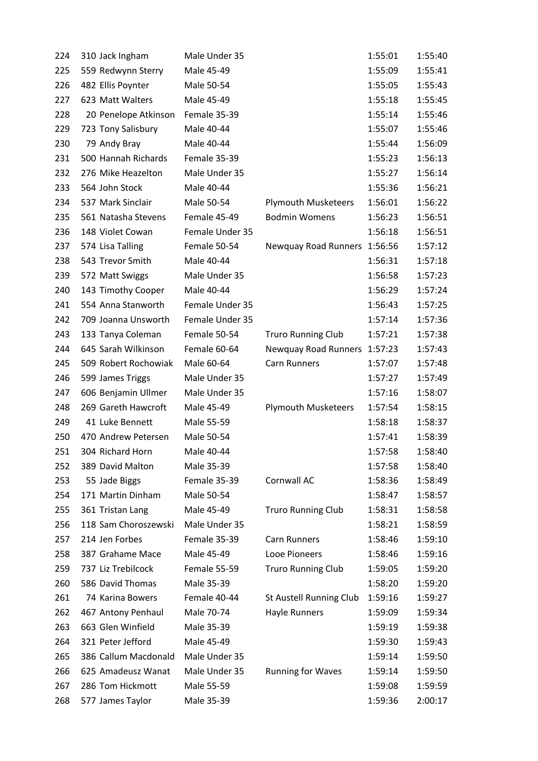| 224 | 310 Jack Ingham      | Male Under 35   |                              | 1:55:01 | 1:55:40 |
|-----|----------------------|-----------------|------------------------------|---------|---------|
| 225 | 559 Redwynn Sterry   | Male 45-49      |                              | 1:55:09 | 1:55:41 |
| 226 | 482 Ellis Poynter    | Male 50-54      |                              | 1:55:05 | 1:55:43 |
| 227 | 623 Matt Walters     | Male 45-49      |                              | 1:55:18 | 1:55:45 |
| 228 | 20 Penelope Atkinson | Female 35-39    |                              | 1:55:14 | 1:55:46 |
| 229 | 723 Tony Salisbury   | Male 40-44      |                              | 1:55:07 | 1:55:46 |
| 230 | 79 Andy Bray         | Male 40-44      |                              | 1:55:44 | 1:56:09 |
| 231 | 500 Hannah Richards  | Female 35-39    |                              | 1:55:23 | 1:56:13 |
| 232 | 276 Mike Heazelton   | Male Under 35   |                              | 1:55:27 | 1:56:14 |
| 233 | 564 John Stock       | Male 40-44      |                              | 1:55:36 | 1:56:21 |
| 234 | 537 Mark Sinclair    | Male 50-54      | <b>Plymouth Musketeers</b>   | 1:56:01 | 1:56:22 |
| 235 | 561 Natasha Stevens  | Female 45-49    | <b>Bodmin Womens</b>         | 1:56:23 | 1:56:51 |
| 236 | 148 Violet Cowan     | Female Under 35 |                              | 1:56:18 | 1:56:51 |
| 237 | 574 Lisa Talling     | Female 50-54    | Newquay Road Runners 1:56:56 |         | 1:57:12 |
| 238 | 543 Trevor Smith     | Male 40-44      |                              | 1:56:31 | 1:57:18 |
| 239 | 572 Matt Swiggs      | Male Under 35   |                              | 1:56:58 | 1:57:23 |
| 240 | 143 Timothy Cooper   | Male 40-44      |                              | 1:56:29 | 1:57:24 |
| 241 | 554 Anna Stanworth   | Female Under 35 |                              | 1:56:43 | 1:57:25 |
| 242 | 709 Joanna Unsworth  | Female Under 35 |                              | 1:57:14 | 1:57:36 |
| 243 | 133 Tanya Coleman    | Female 50-54    | <b>Truro Running Club</b>    | 1:57:21 | 1:57:38 |
| 244 | 645 Sarah Wilkinson  | Female 60-64    | Newquay Road Runners 1:57:23 |         | 1:57:43 |
| 245 | 509 Robert Rochowiak | Male 60-64      | Carn Runners                 | 1:57:07 | 1:57:48 |
| 246 | 599 James Triggs     | Male Under 35   |                              | 1:57:27 | 1:57:49 |
| 247 | 606 Benjamin Ullmer  | Male Under 35   |                              | 1:57:16 | 1:58:07 |
| 248 | 269 Gareth Hawcroft  | Male 45-49      | <b>Plymouth Musketeers</b>   | 1:57:54 | 1:58:15 |
| 249 | 41 Luke Bennett      | Male 55-59      |                              | 1:58:18 | 1:58:37 |
| 250 | 470 Andrew Petersen  | Male 50-54      |                              | 1:57:41 | 1:58:39 |
| 251 | 304 Richard Horn     | Male 40-44      |                              | 1:57:58 | 1:58:40 |
| 252 | 389 David Malton     | Male 35-39      |                              | 1:57:58 | 1:58:40 |
| 253 | 55 Jade Biggs        | Female 35-39    | Cornwall AC                  | 1:58:36 | 1:58:49 |
| 254 | 171 Martin Dinham    | Male 50-54      |                              | 1:58:47 | 1:58:57 |
| 255 | 361 Tristan Lang     | Male 45-49      | <b>Truro Running Club</b>    | 1:58:31 | 1:58:58 |
| 256 | 118 Sam Choroszewski | Male Under 35   |                              | 1:58:21 | 1:58:59 |
| 257 | 214 Jen Forbes       | Female 35-39    | Carn Runners                 | 1:58:46 | 1:59:10 |
| 258 | 387 Grahame Mace     | Male 45-49      | Looe Pioneers                | 1:58:46 | 1:59:16 |
| 259 | 737 Liz Trebilcock   | Female 55-59    | <b>Truro Running Club</b>    | 1:59:05 | 1:59:20 |
| 260 | 586 David Thomas     | Male 35-39      |                              | 1:58:20 | 1:59:20 |
| 261 | 74 Karina Bowers     | Female 40-44    | St Austell Running Club      | 1:59:16 | 1:59:27 |
| 262 | 467 Antony Penhaul   | Male 70-74      | Hayle Runners                | 1:59:09 | 1:59:34 |
| 263 | 663 Glen Winfield    | Male 35-39      |                              | 1:59:19 | 1:59:38 |
| 264 | 321 Peter Jefford    | Male 45-49      |                              | 1:59:30 | 1:59:43 |
| 265 | 386 Callum Macdonald | Male Under 35   |                              | 1:59:14 | 1:59:50 |
| 266 | 625 Amadeusz Wanat   | Male Under 35   | <b>Running for Waves</b>     | 1:59:14 | 1:59:50 |
| 267 | 286 Tom Hickmott     | Male 55-59      |                              | 1:59:08 | 1:59:59 |
| 268 | 577 James Taylor     | Male 35-39      |                              | 1:59:36 | 2:00:17 |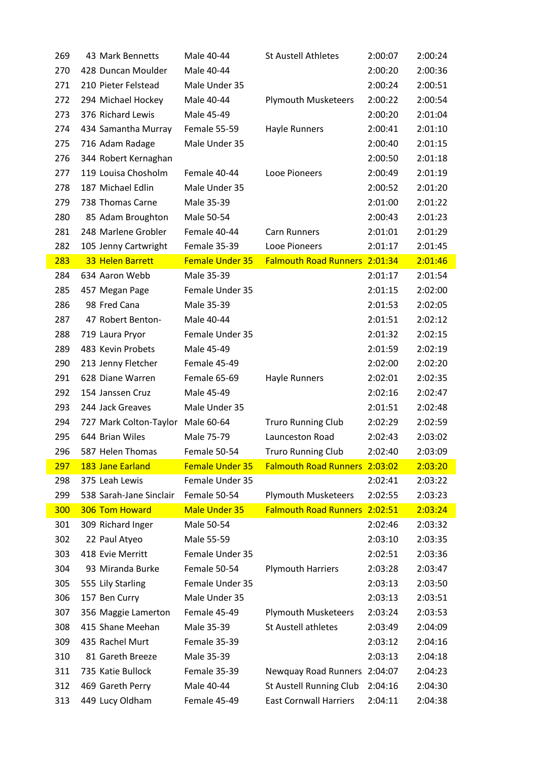| 269        | 43 Mark Bennetts                    | Male 40-44                 | <b>St Austell Athletes</b>                                      | 2:00:07            | 2:00:24            |
|------------|-------------------------------------|----------------------------|-----------------------------------------------------------------|--------------------|--------------------|
| 270        | 428 Duncan Moulder                  | Male 40-44                 |                                                                 | 2:00:20            | 2:00:36            |
| 271        | 210 Pieter Felstead                 | Male Under 35              |                                                                 | 2:00:24            | 2:00:51            |
| 272        | 294 Michael Hockey                  | Male 40-44                 | <b>Plymouth Musketeers</b>                                      | 2:00:22            | 2:00:54            |
| 273        | 376 Richard Lewis                   | Male 45-49                 |                                                                 | 2:00:20            | 2:01:04            |
| 274        | 434 Samantha Murray                 | Female 55-59               | Hayle Runners                                                   | 2:00:41            | 2:01:10            |
| 275        | 716 Adam Radage                     | Male Under 35              |                                                                 | 2:00:40            | 2:01:15            |
| 276        | 344 Robert Kernaghan                |                            |                                                                 | 2:00:50            | 2:01:18            |
| 277        | 119 Louisa Chosholm                 | Female 40-44               | Looe Pioneers                                                   | 2:00:49            | 2:01:19            |
| 278        | 187 Michael Edlin                   | Male Under 35              |                                                                 | 2:00:52            | 2:01:20            |
| 279        | 738 Thomas Carne                    | Male 35-39                 |                                                                 | 2:01:00            | 2:01:22            |
| 280        | 85 Adam Broughton                   | Male 50-54                 |                                                                 | 2:00:43            | 2:01:23            |
| 281        | 248 Marlene Grobler                 | Female 40-44               | Carn Runners                                                    | 2:01:01            | 2:01:29            |
| 282        | 105 Jenny Cartwright                | Female 35-39               | Looe Pioneers                                                   | 2:01:17            | 2:01:45            |
| 283        | 33 Helen Barrett                    | <b>Female Under 35</b>     | <b>Falmouth Road Runners</b>                                    | 2:01:34            | 2:01:46            |
| 284        | 634 Aaron Webb                      | Male 35-39                 |                                                                 | 2:01:17            | 2:01:54            |
| 285        | 457 Megan Page                      | Female Under 35            |                                                                 | 2:01:15            | 2:02:00            |
| 286        | 98 Fred Cana                        | Male 35-39                 |                                                                 | 2:01:53            | 2:02:05            |
| 287        | 47 Robert Benton-                   | Male 40-44                 |                                                                 | 2:01:51            | 2:02:12            |
| 288        | 719 Laura Pryor                     | Female Under 35            |                                                                 | 2:01:32            | 2:02:15            |
| 289        | 483 Kevin Probets                   | Male 45-49                 |                                                                 | 2:01:59            | 2:02:19            |
| 290        | 213 Jenny Fletcher                  | Female 45-49               |                                                                 | 2:02:00            | 2:02:20            |
| 291        | 628 Diane Warren                    | Female 65-69               | <b>Hayle Runners</b>                                            | 2:02:01            | 2:02:35            |
| 292        | 154 Janssen Cruz                    | Male 45-49                 |                                                                 | 2:02:16            | 2:02:47            |
| 293        | 244 Jack Greaves                    | Male Under 35              |                                                                 | 2:01:51            | 2:02:48            |
| 294        | 727 Mark Colton-Taylor              | Male 60-64                 | <b>Truro Running Club</b>                                       | 2:02:29            | 2:02:59            |
| 295        | 644 Brian Wiles                     | Male 75-79                 | Launceston Road                                                 | 2:02:43            | 2:03:02            |
| 296        | 587 Helen Thomas                    | Female 50-54               | <b>Truro Running Club</b>                                       | 2:02:40            | 2:03:09            |
| 297        | 183 Jane Earland                    | <b>Female Under 35</b>     | Falmouth Road Runners 2:03:02                                   |                    | 2:03:20            |
| 298        | 375 Leah Lewis                      | Female Under 35            |                                                                 | 2:02:41            | 2:03:22            |
| 299        | 538 Sarah-Jane Sinclair             | Female 50-54               | <b>Plymouth Musketeers</b>                                      | 2:02:55            | 2:03:23            |
| 300        | 306 Tom Howard                      | <b>Male Under 35</b>       | Falmouth Road Runners 2:02:51                                   |                    | 2:03:24            |
| 301        |                                     |                            |                                                                 |                    |                    |
| 302        | 309 Richard Inger                   | Male 50-54                 |                                                                 | 2:02:46            | 2:03:32            |
|            | 22 Paul Atyeo                       | Male 55-59                 |                                                                 | 2:03:10            | 2:03:35            |
| 303        | 418 Evie Merritt                    | Female Under 35            |                                                                 | 2:02:51            | 2:03:36            |
| 304        | 93 Miranda Burke                    | Female 50-54               | <b>Plymouth Harriers</b>                                        | 2:03:28            | 2:03:47            |
| 305        | 555 Lily Starling                   | Female Under 35            |                                                                 | 2:03:13            | 2:03:50            |
| 306        | 157 Ben Curry                       | Male Under 35              |                                                                 | 2:03:13            | 2:03:51            |
| 307        | 356 Maggie Lamerton                 | Female 45-49               | <b>Plymouth Musketeers</b>                                      | 2:03:24            | 2:03:53            |
| 308        | 415 Shane Meehan                    | Male 35-39                 | <b>St Austell athletes</b>                                      | 2:03:49            | 2:04:09            |
| 309        | 435 Rachel Murt                     | Female 35-39               |                                                                 | 2:03:12            | 2:04:16            |
| 310        | 81 Gareth Breeze                    | Male 35-39                 |                                                                 | 2:03:13            | 2:04:18            |
| 311        | 735 Katie Bullock                   | Female 35-39               | Newquay Road Runners 2:04:07                                    |                    | 2:04:23            |
| 312<br>313 | 469 Gareth Perry<br>449 Lucy Oldham | Male 40-44<br>Female 45-49 | <b>St Austell Running Club</b><br><b>East Cornwall Harriers</b> | 2:04:16<br>2:04:11 | 2:04:30<br>2:04:38 |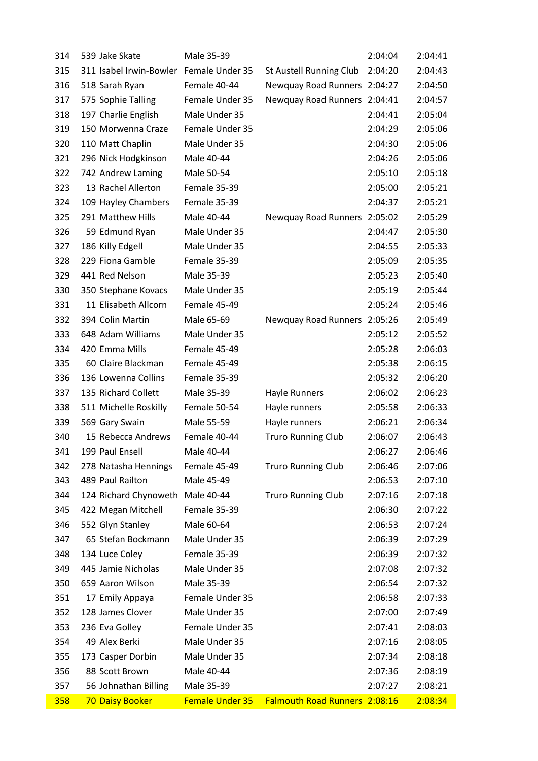| 314 | 539 Jake Skate                          | Male 35-39      |                                      | 2:04:04 | 2:04:41 |
|-----|-----------------------------------------|-----------------|--------------------------------------|---------|---------|
| 315 | 311 Isabel Irwin-Bowler Female Under 35 |                 | St Austell Running Club              | 2:04:20 | 2:04:43 |
| 316 | 518 Sarah Ryan                          | Female 40-44    | Newquay Road Runners 2:04:27         |         | 2:04:50 |
| 317 | 575 Sophie Talling                      | Female Under 35 | Newquay Road Runners 2:04:41         |         | 2:04:57 |
| 318 | 197 Charlie English                     | Male Under 35   |                                      | 2:04:41 | 2:05:04 |
| 319 | 150 Morwenna Craze                      | Female Under 35 |                                      | 2:04:29 | 2:05:06 |
| 320 | 110 Matt Chaplin                        | Male Under 35   |                                      | 2:04:30 | 2:05:06 |
| 321 | 296 Nick Hodgkinson                     | Male 40-44      |                                      | 2:04:26 | 2:05:06 |
| 322 | 742 Andrew Laming                       | Male 50-54      |                                      | 2:05:10 | 2:05:18 |
| 323 | 13 Rachel Allerton                      | Female 35-39    |                                      | 2:05:00 | 2:05:21 |
| 324 | 109 Hayley Chambers                     | Female 35-39    |                                      | 2:04:37 | 2:05:21 |
| 325 | 291 Matthew Hills                       | Male 40-44      | Newquay Road Runners 2:05:02         |         | 2:05:29 |
| 326 | 59 Edmund Ryan                          | Male Under 35   |                                      | 2:04:47 | 2:05:30 |
| 327 | 186 Killy Edgell                        | Male Under 35   |                                      | 2:04:55 | 2:05:33 |
| 328 | 229 Fiona Gamble                        | Female 35-39    |                                      | 2:05:09 | 2:05:35 |
| 329 | 441 Red Nelson                          | Male 35-39      |                                      | 2:05:23 | 2:05:40 |
| 330 | 350 Stephane Kovacs                     | Male Under 35   |                                      | 2:05:19 | 2:05:44 |
| 331 | 11 Elisabeth Allcorn                    | Female 45-49    |                                      | 2:05:24 | 2:05:46 |
| 332 | 394 Colin Martin                        | Male 65-69      | Newquay Road Runners 2:05:26         |         | 2:05:49 |
| 333 | 648 Adam Williams                       | Male Under 35   |                                      | 2:05:12 | 2:05:52 |
| 334 | 420 Emma Mills                          | Female 45-49    |                                      | 2:05:28 | 2:06:03 |
| 335 | 60 Claire Blackman                      | Female 45-49    |                                      | 2:05:38 | 2:06:15 |
| 336 | 136 Lowenna Collins                     | Female 35-39    |                                      | 2:05:32 | 2:06:20 |
| 337 | 135 Richard Collett                     | Male 35-39      | <b>Hayle Runners</b>                 | 2:06:02 | 2:06:23 |
| 338 | 511 Michelle Roskilly                   | Female 50-54    | Hayle runners                        | 2:05:58 | 2:06:33 |
| 339 | 569 Gary Swain                          | Male 55-59      | Hayle runners                        | 2:06:21 | 2:06:34 |
| 340 | 15 Rebecca Andrews                      | Female 40-44    | <b>Truro Running Club</b>            | 2:06:07 | 2:06:43 |
| 341 | 199 Paul Ensell                         | Male 40-44      |                                      | 2:06:27 | 2:06:46 |
| 342 | 278 Natasha Hennings                    | Female 45-49    | <b>Truro Running Club</b>            | 2:06:46 | 2:07:06 |
| 343 | 489 Paul Railton                        | Male 45-49      |                                      | 2:06:53 | 2:07:10 |
| 344 | 124 Richard Chynoweth Male 40-44        |                 | <b>Truro Running Club</b>            | 2:07:16 | 2:07:18 |
| 345 | 422 Megan Mitchell                      | Female 35-39    |                                      | 2:06:30 | 2:07:22 |
| 346 | 552 Glyn Stanley                        | Male 60-64      |                                      | 2:06:53 | 2:07:24 |
| 347 | 65 Stefan Bockmann                      | Male Under 35   |                                      | 2:06:39 | 2:07:29 |
| 348 | 134 Luce Coley                          | Female 35-39    |                                      | 2:06:39 | 2:07:32 |
| 349 | 445 Jamie Nicholas                      | Male Under 35   |                                      | 2:07:08 | 2:07:32 |
| 350 | 659 Aaron Wilson                        | Male 35-39      |                                      | 2:06:54 | 2:07:32 |
| 351 | 17 Emily Appaya                         | Female Under 35 |                                      | 2:06:58 | 2:07:33 |
| 352 | 128 James Clover                        | Male Under 35   |                                      | 2:07:00 | 2:07:49 |
| 353 | 236 Eva Golley                          | Female Under 35 |                                      | 2:07:41 | 2:08:03 |
| 354 | 49 Alex Berki                           | Male Under 35   |                                      | 2:07:16 | 2:08:05 |
| 355 | 173 Casper Dorbin                       | Male Under 35   |                                      | 2:07:34 | 2:08:18 |
| 356 | 88 Scott Brown                          | Male 40-44      |                                      | 2:07:36 | 2:08:19 |
| 357 | 56 Johnathan Billing                    | Male 35-39      |                                      | 2:07:27 | 2:08:21 |
| 358 | <b>70 Daisy Booker</b>                  | Female Under 35 | <b>Falmouth Road Runners 2:08:16</b> |         | 2:08:34 |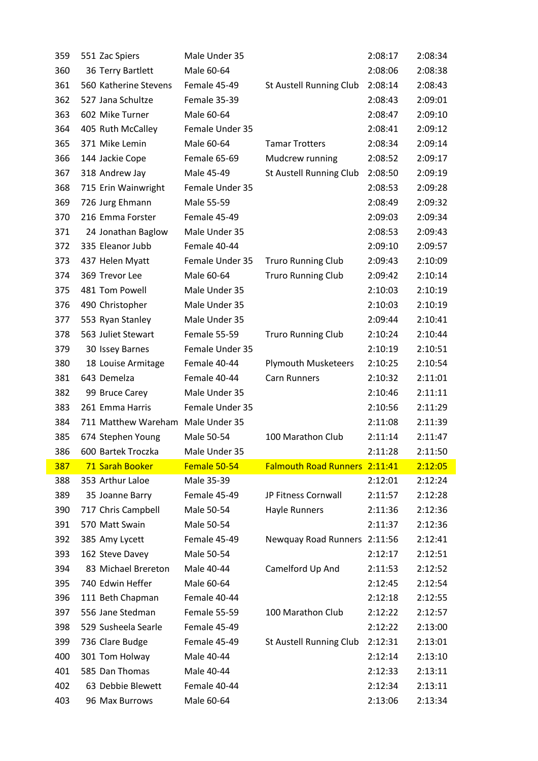| 359 | 551 Zac Spiers        | Male Under 35   |                               | 2:08:17 | 2:08:34 |
|-----|-----------------------|-----------------|-------------------------------|---------|---------|
| 360 | 36 Terry Bartlett     | Male 60-64      |                               | 2:08:06 | 2:08:38 |
| 361 | 560 Katherine Stevens | Female 45-49    | St Austell Running Club       | 2:08:14 | 2:08:43 |
| 362 | 527 Jana Schultze     | Female 35-39    |                               | 2:08:43 | 2:09:01 |
| 363 | 602 Mike Turner       | Male 60-64      |                               | 2:08:47 | 2:09:10 |
| 364 | 405 Ruth McCalley     | Female Under 35 |                               | 2:08:41 | 2:09:12 |
| 365 | 371 Mike Lemin        | Male 60-64      | <b>Tamar Trotters</b>         | 2:08:34 | 2:09:14 |
| 366 | 144 Jackie Cope       | Female 65-69    | Mudcrew running               | 2:08:52 | 2:09:17 |
| 367 | 318 Andrew Jay        | Male 45-49      | St Austell Running Club       | 2:08:50 | 2:09:19 |
| 368 | 715 Erin Wainwright   | Female Under 35 |                               | 2:08:53 | 2:09:28 |
| 369 | 726 Jurg Ehmann       | Male 55-59      |                               | 2:08:49 | 2:09:32 |
| 370 | 216 Emma Forster      | Female 45-49    |                               | 2:09:03 | 2:09:34 |
| 371 | 24 Jonathan Baglow    | Male Under 35   |                               | 2:08:53 | 2:09:43 |
| 372 | 335 Eleanor Jubb      | Female 40-44    |                               | 2:09:10 | 2:09:57 |
| 373 | 437 Helen Myatt       | Female Under 35 | <b>Truro Running Club</b>     | 2:09:43 | 2:10:09 |
| 374 | 369 Trevor Lee        | Male 60-64      | <b>Truro Running Club</b>     | 2:09:42 | 2:10:14 |
| 375 | 481 Tom Powell        | Male Under 35   |                               | 2:10:03 | 2:10:19 |
| 376 | 490 Christopher       | Male Under 35   |                               | 2:10:03 | 2:10:19 |
| 377 | 553 Ryan Stanley      | Male Under 35   |                               | 2:09:44 | 2:10:41 |
| 378 | 563 Juliet Stewart    | Female 55-59    | <b>Truro Running Club</b>     | 2:10:24 | 2:10:44 |
| 379 | 30 Issey Barnes       | Female Under 35 |                               | 2:10:19 | 2:10:51 |
| 380 | 18 Louise Armitage    | Female 40-44    | <b>Plymouth Musketeers</b>    | 2:10:25 | 2:10:54 |
| 381 | 643 Demelza           | Female 40-44    | Carn Runners                  | 2:10:32 | 2:11:01 |
|     |                       |                 |                               |         |         |
| 382 | 99 Bruce Carey        | Male Under 35   |                               | 2:10:46 | 2:11:11 |
| 383 | 261 Emma Harris       | Female Under 35 |                               | 2:10:56 | 2:11:29 |
| 384 | 711 Matthew Wareham   | Male Under 35   |                               | 2:11:08 | 2:11:39 |
| 385 | 674 Stephen Young     | Male 50-54      | 100 Marathon Club             | 2:11:14 | 2:11:47 |
| 386 | 600 Bartek Troczka    | Male Under 35   |                               | 2:11:28 | 2:11:50 |
| 387 | 71 Sarah Booker       | Female 50-54    | Falmouth Road Runners 2:11:41 |         | 2:12:05 |
| 388 | 353 Arthur Laloe      | Male 35-39      |                               | 2:12:01 | 2:12:24 |
| 389 | 35 Joanne Barry       | Female 45-49    | JP Fitness Cornwall           | 2:11:57 | 2:12:28 |
| 390 | 717 Chris Campbell    | Male 50-54      | <b>Hayle Runners</b>          | 2:11:36 | 2:12:36 |
| 391 | 570 Matt Swain        | Male 50-54      |                               | 2:11:37 | 2:12:36 |
| 392 | 385 Amy Lycett        | Female 45-49    | Newquay Road Runners          | 2:11:56 | 2:12:41 |
| 393 | 162 Steve Davey       | Male 50-54      |                               | 2:12:17 | 2:12:51 |
| 394 | 83 Michael Brereton   | Male 40-44      | Camelford Up And              | 2:11:53 | 2:12:52 |
| 395 | 740 Edwin Heffer      | Male 60-64      |                               | 2:12:45 | 2:12:54 |
| 396 | 111 Beth Chapman      | Female 40-44    |                               | 2:12:18 | 2:12:55 |
| 397 | 556 Jane Stedman      | Female 55-59    | 100 Marathon Club             | 2:12:22 | 2:12:57 |
| 398 | 529 Susheela Searle   | Female 45-49    |                               | 2:12:22 | 2:13:00 |
| 399 | 736 Clare Budge       | Female 45-49    | St Austell Running Club       | 2:12:31 | 2:13:01 |
| 400 | 301 Tom Holway        | Male 40-44      |                               | 2:12:14 | 2:13:10 |
| 401 | 585 Dan Thomas        | Male 40-44      |                               | 2:12:33 | 2:13:11 |
| 402 | 63 Debbie Blewett     | Female 40-44    |                               | 2:12:34 | 2:13:11 |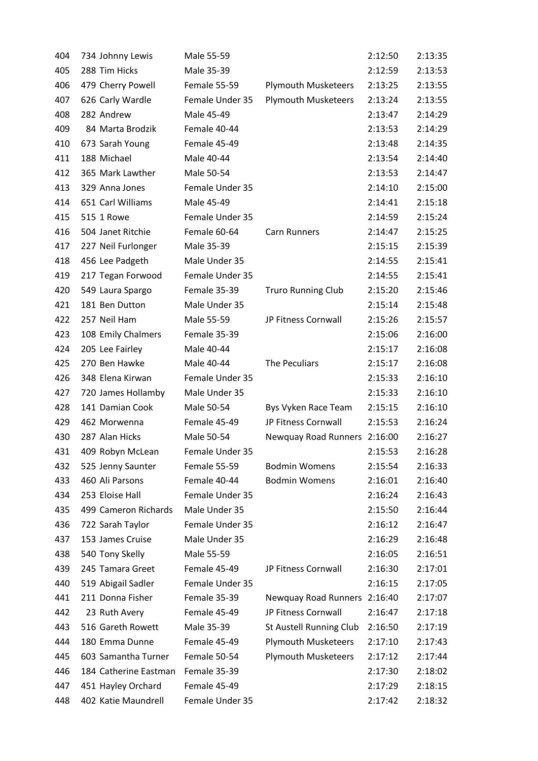| 404 | 734 Johnny Lewis      | Male 55-59      |                              | 2:12:50 | 2:13:35 |
|-----|-----------------------|-----------------|------------------------------|---------|---------|
| 405 | 288 Tim Hicks         | Male 35-39      |                              | 2:12:59 | 2:13:53 |
| 406 | 479 Cherry Powell     | Female 55-59    | <b>Plymouth Musketeers</b>   | 2:13:25 | 2:13:55 |
| 407 | 626 Carly Wardle      | Female Under 35 | <b>Plymouth Musketeers</b>   | 2:13:24 | 2:13:55 |
| 408 | 282 Andrew            | Male 45-49      |                              | 2:13:47 | 2:14:29 |
| 409 | 84 Marta Brodzik      | Female 40-44    |                              | 2:13:53 | 2:14:29 |
| 410 | 673 Sarah Young       | Female 45-49    |                              | 2:13:48 | 2:14:35 |
| 411 | 188 Michael           | Male 40-44      |                              | 2:13:54 | 2:14:40 |
| 412 | 365 Mark Lawther      | Male 50-54      |                              | 2:13:53 | 2:14:47 |
| 413 | 329 Anna Jones        | Female Under 35 |                              | 2:14:10 | 2:15:00 |
| 414 | 651 Carl Williams     | Male 45-49      |                              | 2:14:41 | 2:15:18 |
| 415 | 515 1 Rowe            | Female Under 35 |                              | 2:14:59 | 2:15:24 |
| 416 | 504 Janet Ritchie     | Female 60-64    | <b>Carn Runners</b>          | 2:14:47 | 2:15:25 |
| 417 | 227 Neil Furlonger    | Male 35-39      |                              | 2:15:15 | 2:15:39 |
| 418 | 456 Lee Padgeth       | Male Under 35   |                              | 2:14:55 | 2:15:41 |
| 419 | 217 Tegan Forwood     | Female Under 35 |                              | 2:14:55 | 2:15:41 |
| 420 | 549 Laura Spargo      | Female 35-39    | <b>Truro Running Club</b>    | 2:15:20 | 2:15:46 |
| 421 | 181 Ben Dutton        | Male Under 35   |                              | 2:15:14 | 2:15:48 |
| 422 | 257 Neil Ham          | Male 55-59      | JP Fitness Cornwall          | 2:15:26 | 2:15:57 |
| 423 | 108 Emily Chalmers    | Female 35-39    |                              | 2:15:06 | 2:16:00 |
| 424 | 205 Lee Fairley       | Male 40-44      |                              | 2:15:17 | 2:16:08 |
| 425 | 270 Ben Hawke         | Male 40-44      | The Peculiars                | 2:15:17 | 2:16:08 |
| 426 | 348 Elena Kirwan      | Female Under 35 |                              | 2:15:33 | 2:16:10 |
| 427 | 720 James Hollamby    | Male Under 35   |                              | 2:15:33 | 2:16:10 |
| 428 | 141 Damian Cook       | Male 50-54      | Bys Vyken Race Team          | 2:15:15 | 2:16:10 |
| 429 | 462 Morwenna          | Female 45-49    | JP Fitness Cornwall          | 2:15:53 | 2:16:24 |
| 430 | 287 Alan Hicks        | Male 50-54      | Newquay Road Runners 2:16:00 |         | 2:16:27 |
| 431 | 409 Robyn McLean      | Female Under 35 |                              | 2:15:53 | 2:16:28 |
| 432 | 525 Jenny Saunter     | Female 55-59    | <b>Bodmin Womens</b>         | 2:15:54 | 2:16:33 |
| 433 | 460 Ali Parsons       | Female 40-44    | <b>Bodmin Womens</b>         | 2:16:01 | 2:16:40 |
| 434 | 253 Eloise Hall       | Female Under 35 |                              | 2:16:24 | 2:16:43 |
| 435 | 499 Cameron Richards  | Male Under 35   |                              | 2:15:50 | 2:16:44 |
| 436 | 722 Sarah Taylor      | Female Under 35 |                              | 2:16:12 | 2:16:47 |
| 437 | 153 James Cruise      | Male Under 35   |                              | 2:16:29 | 2:16:48 |
| 438 | 540 Tony Skelly       | Male 55-59      |                              | 2:16:05 | 2:16:51 |
| 439 | 245 Tamara Greet      | Female 45-49    | JP Fitness Cornwall          | 2:16:30 | 2:17:01 |
| 440 | 519 Abigail Sadler    | Female Under 35 |                              | 2:16:15 | 2:17:05 |
| 441 | 211 Donna Fisher      | Female 35-39    | Newquay Road Runners 2:16:40 |         | 2:17:07 |
| 442 | 23 Ruth Avery         | Female 45-49    | JP Fitness Cornwall          | 2:16:47 | 2:17:18 |
| 443 | 516 Gareth Rowett     | Male 35-39      | St Austell Running Club      | 2:16:50 | 2:17:19 |
| 444 | 180 Emma Dunne        | Female 45-49    | <b>Plymouth Musketeers</b>   | 2:17:10 | 2:17:43 |
| 445 | 603 Samantha Turner   | Female 50-54    | <b>Plymouth Musketeers</b>   | 2:17:12 | 2:17:44 |
| 446 | 184 Catherine Eastman | Female 35-39    |                              | 2:17:30 | 2:18:02 |
| 447 | 451 Hayley Orchard    | Female 45-49    |                              | 2:17:29 | 2:18:15 |
| 448 | 402 Katie Maundrell   | Female Under 35 |                              | 2:17:42 | 2:18:32 |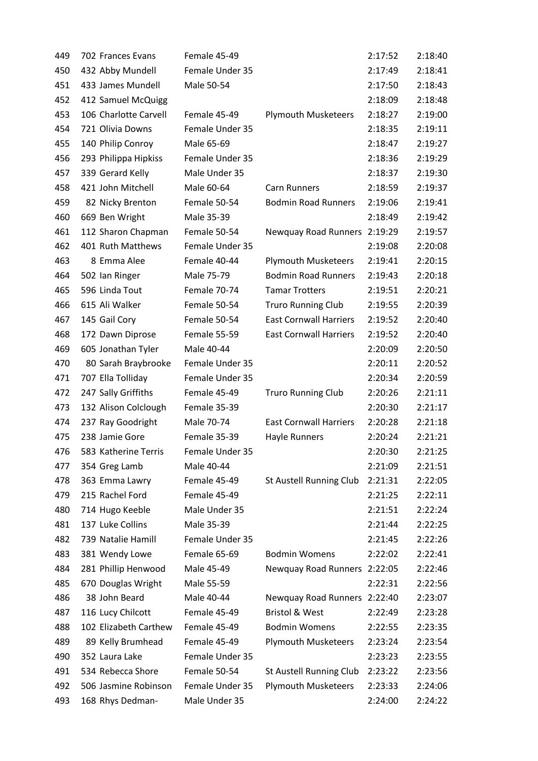| 449 | 702 Frances Evans     | Female 45-49    |                               | 2:17:52 | 2:18:40 |
|-----|-----------------------|-----------------|-------------------------------|---------|---------|
| 450 | 432 Abby Mundell      | Female Under 35 |                               | 2:17:49 | 2:18:41 |
| 451 | 433 James Mundell     | Male 50-54      |                               | 2:17:50 | 2:18:43 |
| 452 | 412 Samuel McQuigg    |                 |                               | 2:18:09 | 2:18:48 |
| 453 | 106 Charlotte Carvell | Female 45-49    | <b>Plymouth Musketeers</b>    | 2:18:27 | 2:19:00 |
| 454 | 721 Olivia Downs      | Female Under 35 |                               | 2:18:35 | 2:19:11 |
| 455 | 140 Philip Conroy     | Male 65-69      |                               | 2:18:47 | 2:19:27 |
| 456 | 293 Philippa Hipkiss  | Female Under 35 |                               | 2:18:36 | 2:19:29 |
| 457 | 339 Gerard Kelly      | Male Under 35   |                               | 2:18:37 | 2:19:30 |
| 458 | 421 John Mitchell     | Male 60-64      | <b>Carn Runners</b>           | 2:18:59 | 2:19:37 |
| 459 | 82 Nicky Brenton      | Female 50-54    | <b>Bodmin Road Runners</b>    | 2:19:06 | 2:19:41 |
| 460 | 669 Ben Wright        | Male 35-39      |                               | 2:18:49 | 2:19:42 |
| 461 | 112 Sharon Chapman    | Female 50-54    | Newquay Road Runners 2:19:29  |         | 2:19:57 |
| 462 | 401 Ruth Matthews     | Female Under 35 |                               | 2:19:08 | 2:20:08 |
| 463 | 8 Emma Alee           | Female 40-44    | <b>Plymouth Musketeers</b>    | 2:19:41 | 2:20:15 |
| 464 | 502 Ian Ringer        | Male 75-79      | <b>Bodmin Road Runners</b>    | 2:19:43 | 2:20:18 |
| 465 | 596 Linda Tout        | Female 70-74    | <b>Tamar Trotters</b>         | 2:19:51 | 2:20:21 |
| 466 | 615 Ali Walker        | Female 50-54    | <b>Truro Running Club</b>     | 2:19:55 | 2:20:39 |
| 467 | 145 Gail Cory         | Female 50-54    | <b>East Cornwall Harriers</b> | 2:19:52 | 2:20:40 |
| 468 | 172 Dawn Diprose      | Female 55-59    | <b>East Cornwall Harriers</b> | 2:19:52 | 2:20:40 |
| 469 | 605 Jonathan Tyler    | Male 40-44      |                               | 2:20:09 | 2:20:50 |
| 470 | 80 Sarah Braybrooke   | Female Under 35 |                               | 2:20:11 | 2:20:52 |
| 471 | 707 Ella Tolliday     | Female Under 35 |                               | 2:20:34 | 2:20:59 |
| 472 | 247 Sally Griffiths   | Female 45-49    | <b>Truro Running Club</b>     | 2:20:26 | 2:21:11 |
| 473 | 132 Alison Colclough  | Female 35-39    |                               | 2:20:30 | 2:21:17 |
| 474 | 237 Ray Goodright     | Male 70-74      | <b>East Cornwall Harriers</b> | 2:20:28 | 2:21:18 |
| 475 | 238 Jamie Gore        | Female 35-39    | <b>Hayle Runners</b>          | 2:20:24 | 2:21:21 |
| 476 | 583 Katherine Terris  | Female Under 35 |                               | 2:20:30 | 2:21:25 |
| 477 | 354 Greg Lamb         | Male 40-44      |                               | 2:21:09 | 2:21:51 |
| 478 | 363 Emma Lawry        | Female 45-49    | St Austell Running Club       | 2:21:31 | 2:22:05 |
| 479 | 215 Rachel Ford       | Female 45-49    |                               | 2:21:25 | 2:22:11 |
| 480 | 714 Hugo Keeble       | Male Under 35   |                               | 2:21:51 | 2:22:24 |
| 481 | 137 Luke Collins      | Male 35-39      |                               | 2:21:44 | 2:22:25 |
| 482 | 739 Natalie Hamill    | Female Under 35 |                               | 2:21:45 | 2:22:26 |
| 483 | 381 Wendy Lowe        | Female 65-69    | <b>Bodmin Womens</b>          | 2:22:02 | 2:22:41 |
| 484 | 281 Phillip Henwood   | Male 45-49      | Newquay Road Runners 2:22:05  |         | 2:22:46 |
| 485 | 670 Douglas Wright    | Male 55-59      |                               | 2:22:31 | 2:22:56 |
| 486 | 38 John Beard         | Male 40-44      | Newquay Road Runners 2:22:40  |         | 2:23:07 |
| 487 | 116 Lucy Chilcott     | Female 45-49    | <b>Bristol &amp; West</b>     | 2:22:49 | 2:23:28 |
| 488 | 102 Elizabeth Carthew | Female 45-49    | <b>Bodmin Womens</b>          | 2:22:55 | 2:23:35 |
| 489 | 89 Kelly Brumhead     | Female 45-49    | <b>Plymouth Musketeers</b>    | 2:23:24 | 2:23:54 |
| 490 | 352 Laura Lake        | Female Under 35 |                               | 2:23:23 | 2:23:55 |
| 491 | 534 Rebecca Shore     | Female 50-54    | St Austell Running Club       | 2:23:22 | 2:23:56 |
| 492 | 506 Jasmine Robinson  | Female Under 35 | <b>Plymouth Musketeers</b>    | 2:23:33 | 2:24:06 |
| 493 | 168 Rhys Dedman-      | Male Under 35   |                               | 2:24:00 | 2:24:22 |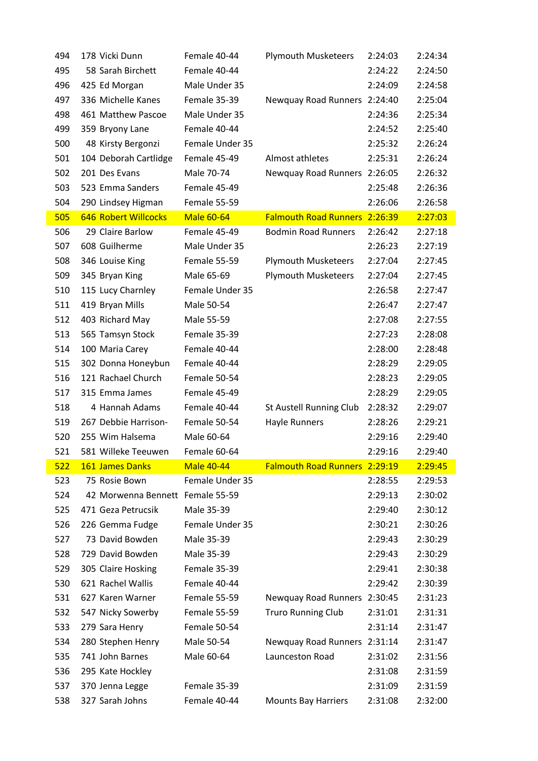|     | 178 Vicki Dunn                     | Female 40-44                 | <b>Plymouth Musketeers</b>    | 2:24:03 | 2:24:34 |
|-----|------------------------------------|------------------------------|-------------------------------|---------|---------|
| 495 | 58 Sarah Birchett                  | Female 40-44                 |                               | 2:24:22 | 2:24:50 |
| 496 | 425 Ed Morgan                      | Male Under 35                |                               | 2:24:09 | 2:24:58 |
| 497 | 336 Michelle Kanes                 | Female 35-39                 | Newquay Road Runners 2:24:40  |         | 2:25:04 |
| 498 | 461 Matthew Pascoe                 | Male Under 35                |                               | 2:24:36 | 2:25:34 |
| 499 | 359 Bryony Lane                    | Female 40-44                 |                               | 2:24:52 | 2:25:40 |
| 500 | 48 Kirsty Bergonzi                 | Female Under 35              |                               | 2:25:32 | 2:26:24 |
| 501 | 104 Deborah Cartlidge              | Female 45-49                 | Almost athletes               | 2:25:31 | 2:26:24 |
| 502 | 201 Des Evans                      | Male 70-74                   | Newquay Road Runners 2:26:05  |         | 2:26:32 |
| 503 | 523 Emma Sanders                   | Female 45-49                 |                               | 2:25:48 | 2:26:36 |
| 504 | 290 Lindsey Higman                 | Female 55-59                 |                               | 2:26:06 | 2:26:58 |
| 505 | <b>646 Robert Willcocks</b>        | <b>Male 60-64</b>            | Falmouth Road Runners 2:26:39 |         | 2:27:03 |
| 506 | 29 Claire Barlow                   | Female 45-49                 | <b>Bodmin Road Runners</b>    | 2:26:42 | 2:27:18 |
| 507 | 608 Guilherme                      | Male Under 35                |                               | 2:26:23 | 2:27:19 |
| 508 | 346 Louise King                    | Female 55-59                 | <b>Plymouth Musketeers</b>    | 2:27:04 | 2:27:45 |
| 509 | 345 Bryan King                     | Male 65-69                   | <b>Plymouth Musketeers</b>    | 2:27:04 | 2:27:45 |
| 510 | 115 Lucy Charnley                  | Female Under 35              |                               | 2:26:58 | 2:27:47 |
| 511 | 419 Bryan Mills                    | Male 50-54                   |                               | 2:26:47 | 2:27:47 |
| 512 | 403 Richard May                    | Male 55-59                   |                               | 2:27:08 | 2:27:55 |
| 513 | 565 Tamsyn Stock                   | Female 35-39                 |                               | 2:27:23 | 2:28:08 |
| 514 | 100 Maria Carey                    | Female 40-44                 |                               | 2:28:00 | 2:28:48 |
| 515 | 302 Donna Honeybun                 | Female 40-44                 |                               | 2:28:29 | 2:29:05 |
| 516 | 121 Rachael Church                 | Female 50-54                 |                               | 2:28:23 | 2:29:05 |
| 517 | 315 Emma James                     | Female 45-49                 |                               | 2:28:29 | 2:29:05 |
|     |                                    |                              |                               |         |         |
| 518 | 4 Hannah Adams                     | Female 40-44                 | St Austell Running Club       | 2:28:32 | 2:29:07 |
| 519 | 267 Debbie Harrison-               | Female 50-54                 | <b>Hayle Runners</b>          | 2:28:26 | 2:29:21 |
| 520 | 255 Wim Halsema                    | Male 60-64                   |                               | 2:29:16 | 2:29:40 |
| 521 | 581 Willeke Teeuwen                | Female 60-64                 |                               | 2:29:16 | 2:29:40 |
| 522 | 161 James Danks                    | <b>Male 40-44</b>            | Falmouth Road Runners 2:29:19 |         | 2:29:45 |
| 523 | 75 Rosie Bown                      | Female Under 35              |                               | 2:28:55 | 2:29:53 |
| 524 | 42 Morwenna Bennett Female 55-59   |                              |                               | 2:29:13 | 2:30:02 |
| 525 | 471 Geza Petrucsik                 | Male 35-39                   |                               | 2:29:40 | 2:30:12 |
| 526 | 226 Gemma Fudge                    | Female Under 35              |                               | 2:30:21 | 2:30:26 |
| 527 | 73 David Bowden                    | Male 35-39                   |                               | 2:29:43 | 2:30:29 |
| 528 | 729 David Bowden                   | Male 35-39                   |                               | 2:29:43 | 2:30:29 |
| 529 | 305 Claire Hosking                 | Female 35-39                 |                               | 2:29:41 | 2:30:38 |
| 530 | 621 Rachel Wallis                  | Female 40-44                 |                               | 2:29:42 | 2:30:39 |
| 531 | 627 Karen Warner                   | Female 55-59                 | Newquay Road Runners 2:30:45  |         | 2:31:23 |
| 532 | 547 Nicky Sowerby                  | Female 55-59                 | <b>Truro Running Club</b>     | 2:31:01 | 2:31:31 |
| 533 | 279 Sara Henry                     | Female 50-54                 |                               | 2:31:14 | 2:31:47 |
| 534 | 280 Stephen Henry                  | Male 50-54                   | Newquay Road Runners 2:31:14  |         | 2:31:47 |
| 535 | 741 John Barnes                    | Male 60-64                   | Launceston Road               | 2:31:02 | 2:31:56 |
| 536 | 295 Kate Hockley                   |                              |                               | 2:31:08 | 2:31:59 |
| 537 | 370 Jenna Legge<br>327 Sarah Johns | Female 35-39<br>Female 40-44 | <b>Mounts Bay Harriers</b>    | 2:31:09 | 2:31:59 |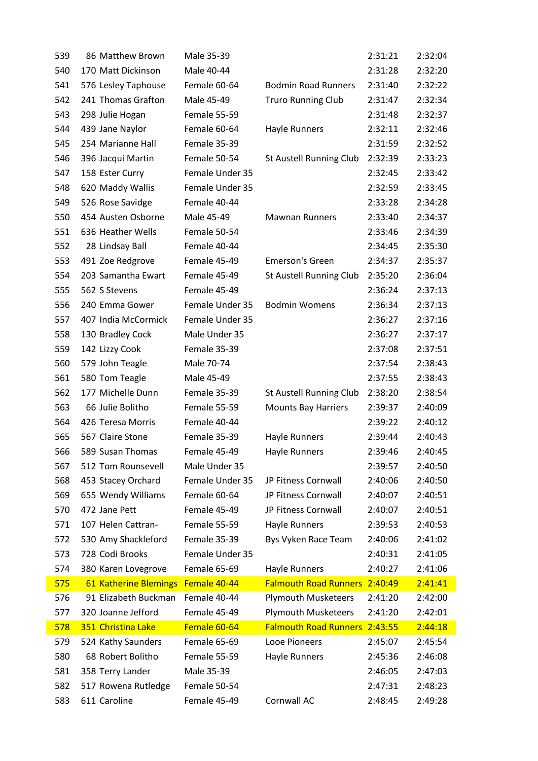| 539 | 86 Matthew Brown      | Male 35-39      |                               | 2:31:21 | 2:32:04 |
|-----|-----------------------|-----------------|-------------------------------|---------|---------|
| 540 | 170 Matt Dickinson    | Male 40-44      |                               | 2:31:28 | 2:32:20 |
| 541 | 576 Lesley Taphouse   | Female 60-64    | <b>Bodmin Road Runners</b>    | 2:31:40 | 2:32:22 |
| 542 | 241 Thomas Grafton    | Male 45-49      | <b>Truro Running Club</b>     | 2:31:47 | 2:32:34 |
| 543 | 298 Julie Hogan       | Female 55-59    |                               | 2:31:48 | 2:32:37 |
| 544 | 439 Jane Naylor       | Female 60-64    | Hayle Runners                 | 2:32:11 | 2:32:46 |
| 545 | 254 Marianne Hall     | Female 35-39    |                               | 2:31:59 | 2:32:52 |
| 546 | 396 Jacqui Martin     | Female 50-54    | St Austell Running Club       | 2:32:39 | 2:33:23 |
| 547 | 158 Ester Curry       | Female Under 35 |                               | 2:32:45 | 2:33:42 |
| 548 | 620 Maddy Wallis      | Female Under 35 |                               | 2:32:59 | 2:33:45 |
| 549 | 526 Rose Savidge      | Female 40-44    |                               | 2:33:28 | 2:34:28 |
| 550 | 454 Austen Osborne    | Male 45-49      | <b>Mawnan Runners</b>         | 2:33:40 | 2:34:37 |
| 551 | 636 Heather Wells     | Female 50-54    |                               | 2:33:46 | 2:34:39 |
| 552 | 28 Lindsay Ball       | Female 40-44    |                               | 2:34:45 | 2:35:30 |
| 553 | 491 Zoe Redgrove      | Female 45-49    | Emerson's Green               | 2:34:37 | 2:35:37 |
| 554 | 203 Samantha Ewart    | Female 45-49    | St Austell Running Club       | 2:35:20 | 2:36:04 |
| 555 | 562 S Stevens         | Female 45-49    |                               | 2:36:24 | 2:37:13 |
| 556 | 240 Emma Gower        | Female Under 35 | <b>Bodmin Womens</b>          | 2:36:34 | 2:37:13 |
| 557 | 407 India McCormick   | Female Under 35 |                               | 2:36:27 | 2:37:16 |
| 558 | 130 Bradley Cock      | Male Under 35   |                               | 2:36:27 | 2:37:17 |
| 559 | 142 Lizzy Cook        | Female 35-39    |                               | 2:37:08 | 2:37:51 |
| 560 | 579 John Teagle       | Male 70-74      |                               | 2:37:54 | 2:38:43 |
| 561 | 580 Tom Teagle        | Male 45-49      |                               | 2:37:55 | 2:38:43 |
| 562 | 177 Michelle Dunn     | Female 35-39    | St Austell Running Club       | 2:38:20 | 2:38:54 |
| 563 | 66 Julie Bolitho      | Female 55-59    | <b>Mounts Bay Harriers</b>    | 2:39:37 | 2:40:09 |
| 564 | 426 Teresa Morris     | Female 40-44    |                               | 2:39:22 | 2:40:12 |
| 565 | 567 Claire Stone      | Female 35-39    | Hayle Runners                 | 2:39:44 | 2:40:43 |
| 566 | 589 Susan Thomas      | Female 45-49    | Hayle Runners                 | 2:39:46 | 2:40:45 |
| 567 | 512 Tom Rounsevell    | Male Under 35   |                               | 2:39:57 | 2:40:50 |
| 568 | 453 Stacey Orchard    | Female Under 35 | JP Fitness Cornwall           | 2:40:06 | 2:40:50 |
| 569 | 655 Wendy Williams    | Female 60-64    | JP Fitness Cornwall           | 2:40:07 | 2:40:51 |
| 570 | 472 Jane Pett         | Female 45-49    | JP Fitness Cornwall           | 2:40:07 | 2:40:51 |
| 571 | 107 Helen Cattran-    | Female 55-59    | <b>Hayle Runners</b>          | 2:39:53 | 2:40:53 |
| 572 | 530 Amy Shackleford   | Female 35-39    | Bys Vyken Race Team           | 2:40:06 | 2:41:02 |
| 573 | 728 Codi Brooks       | Female Under 35 |                               | 2:40:31 | 2:41:05 |
| 574 | 380 Karen Lovegrove   | Female 65-69    | Hayle Runners                 | 2:40:27 | 2:41:06 |
| 575 | 61 Katherine Blemings | Female 40-44    | Falmouth Road Runners 2:40:49 |         | 2:41:41 |
| 576 | 91 Elizabeth Buckman  | Female 40-44    | <b>Plymouth Musketeers</b>    | 2:41:20 | 2:42:00 |
| 577 | 320 Joanne Jefford    | Female 45-49    | <b>Plymouth Musketeers</b>    | 2:41:20 | 2:42:01 |
| 578 | 351 Christina Lake    | Female 60-64    | <b>Falmouth Road Runners</b>  | 2:43:55 | 2:44:18 |
| 579 | 524 Kathy Saunders    | Female 65-69    | Looe Pioneers                 | 2:45:07 | 2:45:54 |
| 580 | 68 Robert Bolitho     | Female 55-59    | Hayle Runners                 | 2:45:36 | 2:46:08 |
| 581 | 358 Terry Lander      | Male 35-39      |                               | 2:46:05 | 2:47:03 |
| 582 | 517 Rowena Rutledge   | Female 50-54    |                               | 2:47:31 | 2:48:23 |
| 583 | 611 Caroline          | Female 45-49    | Cornwall AC                   | 2:48:45 | 2:49:28 |